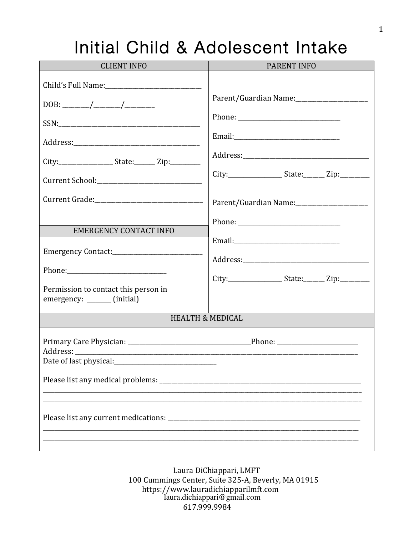# Initial Child & Adolescent Intake

| <b>CLIENT INFO</b>                                                                                                                  | <b>PARENT INFO</b>                                                                                                        |
|-------------------------------------------------------------------------------------------------------------------------------------|---------------------------------------------------------------------------------------------------------------------------|
| City:______________________State:_________ Zip:___________<br><b>EMERGENCY CONTACT INFO</b><br>Permission to contact this person in | City:________________________State:__________Zip:____________<br>City:_____________________State:_________ Zip:__________ |
| emergency: _______ (initial)                                                                                                        |                                                                                                                           |
|                                                                                                                                     | <b>HEALTH &amp; MEDICAL</b>                                                                                               |
| Date of last physical:                                                                                                              |                                                                                                                           |
|                                                                                                                                     |                                                                                                                           |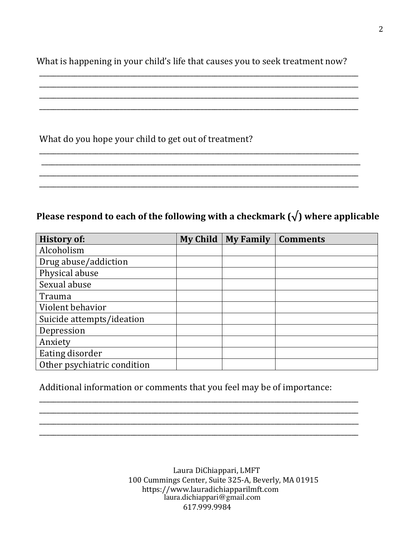What is happening in your child's life that causes you to seek treatment now?

\_\_\_\_\_\_\_\_\_\_\_\_\_\_\_\_\_\_\_\_\_\_\_\_\_\_\_\_\_\_\_\_\_\_\_\_\_\_\_\_\_\_\_\_\_\_\_\_\_\_\_\_\_\_\_\_\_\_\_\_\_\_\_\_\_\_\_\_\_\_\_\_\_\_\_\_\_\_\_\_\_\_\_\_\_\_\_\_\_\_\_ \_\_\_\_\_\_\_\_\_\_\_\_\_\_\_\_\_\_\_\_\_\_\_\_\_\_\_\_\_\_\_\_\_\_\_\_\_\_\_\_\_\_\_\_\_\_\_\_\_\_\_\_\_\_\_\_\_\_\_\_\_\_\_\_\_\_\_\_\_\_\_\_\_\_\_\_\_\_\_\_\_\_\_\_\_\_\_\_\_\_\_ \_\_\_\_\_\_\_\_\_\_\_\_\_\_\_\_\_\_\_\_\_\_\_\_\_\_\_\_\_\_\_\_\_\_\_\_\_\_\_\_\_\_\_\_\_\_\_\_\_\_\_\_\_\_\_\_\_\_\_\_\_\_\_\_\_\_\_\_\_\_\_\_\_\_\_\_\_\_\_\_\_\_\_\_\_\_\_\_\_\_\_ \_\_\_\_\_\_\_\_\_\_\_\_\_\_\_\_\_\_\_\_\_\_\_\_\_\_\_\_\_\_\_\_\_\_\_\_\_\_\_\_\_\_\_\_\_\_\_\_\_\_\_\_\_\_\_\_\_\_\_\_\_\_\_\_\_\_\_\_\_\_\_\_\_\_\_\_\_\_\_\_\_\_\_\_\_\_\_\_\_\_\_

\_\_\_\_\_\_\_\_\_\_\_\_\_\_\_\_\_\_\_\_\_\_\_\_\_\_\_\_\_\_\_\_\_\_\_\_\_\_\_\_\_\_\_\_\_\_\_\_\_\_\_\_\_\_\_\_\_\_\_\_\_\_\_\_\_\_\_\_\_\_\_\_\_\_\_\_\_\_\_\_\_\_\_\_\_\_\_\_\_\_\_ \_\_\_\_\_\_\_\_\_\_\_\_\_\_\_\_\_\_\_\_\_\_\_\_\_\_\_\_\_\_\_\_\_\_\_\_\_\_\_\_\_\_\_\_\_\_\_\_\_\_\_\_\_\_\_\_\_\_\_\_\_\_\_\_\_\_\_\_\_\_\_\_\_\_\_\_\_\_\_\_\_\_\_\_\_\_\_\_\_\_\_ \_\_\_\_\_\_\_\_\_\_\_\_\_\_\_\_\_\_\_\_\_\_\_\_\_\_\_\_\_\_\_\_\_\_\_\_\_\_\_\_\_\_\_\_\_\_\_\_\_\_\_\_\_\_\_\_\_\_\_\_\_\_\_\_\_\_\_\_\_\_\_\_\_\_\_\_\_\_\_\_\_\_\_\_\_\_\_\_\_\_\_ \_\_\_\_\_\_\_\_\_\_\_\_\_\_\_\_\_\_\_\_\_\_\_\_\_\_\_\_\_\_\_\_\_\_\_\_\_\_\_\_\_\_\_\_\_\_\_\_\_\_\_\_\_\_\_\_\_\_\_\_\_\_\_\_\_\_\_\_\_\_\_\_\_\_\_\_\_\_\_\_\_\_\_\_\_\_\_\_\_\_\_

### What do you hope your child to get out of treatment?

### **Please respond to each of the following with a checkmark**  $(\sqrt{\ })$  **where applicable**

| <b>History of:</b>          | <b>My Child</b> | <b>My Family</b> | <b>Comments</b> |
|-----------------------------|-----------------|------------------|-----------------|
| Alcoholism                  |                 |                  |                 |
| Drug abuse/addiction        |                 |                  |                 |
| Physical abuse              |                 |                  |                 |
| Sexual abuse                |                 |                  |                 |
| Trauma                      |                 |                  |                 |
| Violent behavior            |                 |                  |                 |
| Suicide attempts/ideation   |                 |                  |                 |
| Depression                  |                 |                  |                 |
| Anxiety                     |                 |                  |                 |
| Eating disorder             |                 |                  |                 |
| Other psychiatric condition |                 |                  |                 |

Additional information or comments that you feel may be of importance:

\_\_\_\_\_\_\_\_\_\_\_\_\_\_\_\_\_\_\_\_\_\_\_\_\_\_\_\_\_\_\_\_\_\_\_\_\_\_\_\_\_\_\_\_\_\_\_\_\_\_\_\_\_\_\_\_\_\_\_\_\_\_\_\_\_\_\_\_\_\_\_\_\_\_\_\_\_\_\_\_\_\_\_\_\_\_\_\_\_\_\_ \_\_\_\_\_\_\_\_\_\_\_\_\_\_\_\_\_\_\_\_\_\_\_\_\_\_\_\_\_\_\_\_\_\_\_\_\_\_\_\_\_\_\_\_\_\_\_\_\_\_\_\_\_\_\_\_\_\_\_\_\_\_\_\_\_\_\_\_\_\_\_\_\_\_\_\_\_\_\_\_\_\_\_\_\_\_\_\_\_\_\_ \_\_\_\_\_\_\_\_\_\_\_\_\_\_\_\_\_\_\_\_\_\_\_\_\_\_\_\_\_\_\_\_\_\_\_\_\_\_\_\_\_\_\_\_\_\_\_\_\_\_\_\_\_\_\_\_\_\_\_\_\_\_\_\_\_\_\_\_\_\_\_\_\_\_\_\_\_\_\_\_\_\_\_\_\_\_\_\_\_\_\_ \_\_\_\_\_\_\_\_\_\_\_\_\_\_\_\_\_\_\_\_\_\_\_\_\_\_\_\_\_\_\_\_\_\_\_\_\_\_\_\_\_\_\_\_\_\_\_\_\_\_\_\_\_\_\_\_\_\_\_\_\_\_\_\_\_\_\_\_\_\_\_\_\_\_\_\_\_\_\_\_\_\_\_\_\_\_\_\_\_\_\_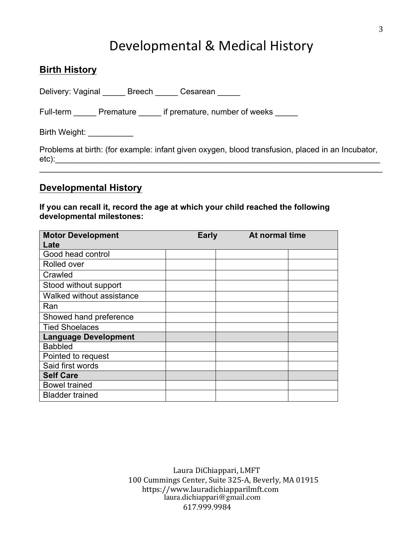## Developmental & Medical History

| <b>Birth History</b>                                                                             |
|--------------------------------------------------------------------------------------------------|
| Delivery: Vaginal ______ Breech _____ Cesarean _____                                             |
| Full-term Premature if premature, number of weeks                                                |
| Birth Weight: ___________                                                                        |
| Problems at birth: (for example: infant given oxygen, blood transfusion, placed in an Incubator, |

etc):\_\_\_\_\_\_\_\_\_\_\_\_\_\_\_\_\_\_\_\_\_\_\_\_\_\_\_\_\_\_\_\_\_\_\_\_\_\_\_\_\_\_\_\_\_\_\_\_\_\_\_\_\_\_\_\_\_\_\_\_\_\_\_\_\_\_\_\_\_\_\_\_  $\_$ 

#### **Developmental History**

#### **If you can recall it, record the age at which your child reached the following developmental milestones:**

| <b>Motor Development</b>    | <b>Early</b> | At normal time |  |
|-----------------------------|--------------|----------------|--|
| Late                        |              |                |  |
| Good head control           |              |                |  |
| Rolled over                 |              |                |  |
| Crawled                     |              |                |  |
| Stood without support       |              |                |  |
| Walked without assistance   |              |                |  |
| Ran                         |              |                |  |
| Showed hand preference      |              |                |  |
| <b>Tied Shoelaces</b>       |              |                |  |
| <b>Language Development</b> |              |                |  |
| <b>Babbled</b>              |              |                |  |
| Pointed to request          |              |                |  |
| Said first words            |              |                |  |
| <b>Self Care</b>            |              |                |  |
| <b>Bowel trained</b>        |              |                |  |
| <b>Bladder trained</b>      |              |                |  |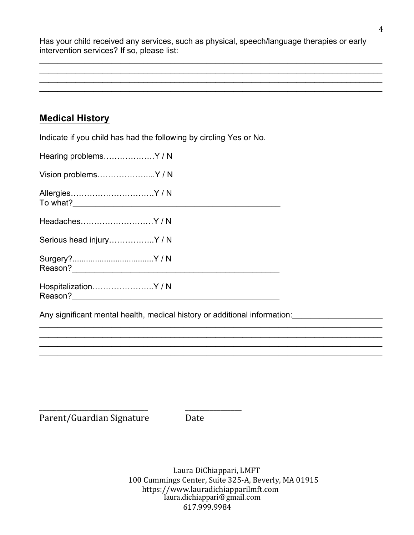Has your child received any services, such as physical, speech/language therapies or early intervention services? If so, please list:

 $\_$  $\_$  $\_$  $\_$ 

### **Medical History**

Indicate if you child has had the following by circling Yes or No.

| Hearing problemsY/N           |  |
|-------------------------------|--|
| Vision problemsY/N            |  |
| AllergiesY/N                  |  |
| HeadachesY/N                  |  |
| Serious head injuryY/N        |  |
|                               |  |
| HospitalizationY/N<br>Reason? |  |

Any significant mental health, medical history or additional information:

\_\_\_\_\_\_\_\_\_\_\_\_\_\_\_\_\_\_\_\_\_\_\_\_\_\_\_\_\_\_\_ \_\_\_\_\_\_\_\_\_\_\_\_\_\_\_\_

Parent/Guardian Signature Date

 $\_$  $\_$  $\_$  $\_$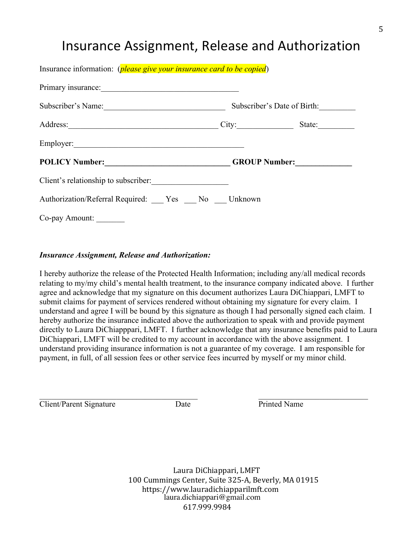## Insurance Assignment, Release and Authorization

| Insurance information: <i>(please give your insurance card to be copied)</i>                                                                                                                                                   |                             |  |  |
|--------------------------------------------------------------------------------------------------------------------------------------------------------------------------------------------------------------------------------|-----------------------------|--|--|
| Primary insurance:                                                                                                                                                                                                             |                             |  |  |
| Subscriber's Name:                                                                                                                                                                                                             | Subscriber's Date of Birth: |  |  |
| Address: State: State: State: State: State: State: State: State: State: State: State: State: State: State: State: State: State: State: State: State: State: State: State: State: State: State: State: State: State: State: Sta |                             |  |  |
|                                                                                                                                                                                                                                |                             |  |  |
| POLICY Number: GROUP Number:                                                                                                                                                                                                   |                             |  |  |
| Client's relationship to subscriber:                                                                                                                                                                                           |                             |  |  |
| Authorization/Referral Required: Yes No Unknown                                                                                                                                                                                |                             |  |  |
| Co-pay Amount:                                                                                                                                                                                                                 |                             |  |  |

#### *Insurance Assignment, Release and Authorization:*

I hereby authorize the release of the Protected Health Information; including any/all medical records relating to my/my child's mental health treatment, to the insurance company indicated above. I further agree and acknowledge that my signature on this document authorizes Laura DiChiappari, LMFT to submit claims for payment of services rendered without obtaining my signature for every claim. I understand and agree I will be bound by this signature as though I had personally signed each claim. I hereby authorize the insurance indicated above the authorization to speak with and provide payment directly to Laura DiChiapppari, LMFT. I further acknowledge that any insurance benefits paid to Laura DiChiappari, LMFT will be credited to my account in accordance with the above assignment. I understand providing insurance information is not a guarantee of my coverage. I am responsible for payment, in full, of all session fees or other service fees incurred by myself or my minor child.

Client/Parent Signature Date Date Printed Name

 $\_$  , and the set of the set of the set of the set of the set of the set of the set of the set of the set of the set of the set of the set of the set of the set of the set of the set of the set of the set of the set of th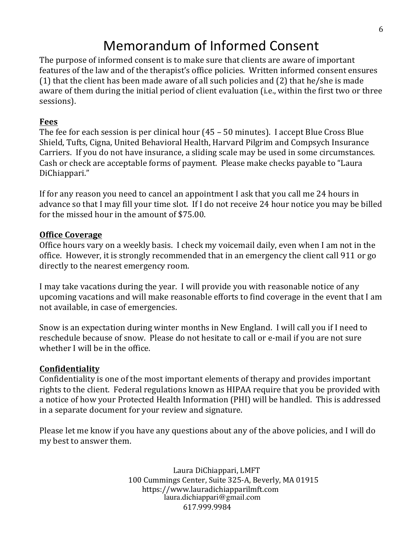## Memorandum of Informed Consent

The purpose of informed consent is to make sure that clients are aware of important features of the law and of the therapist's office policies. Written informed consent ensures (1) that the client has been made aware of all such policies and  $(2)$  that he/she is made aware of them during the initial period of client evaluation (i.e., within the first two or three sessions).

### **Fees**

The fee for each session is per clinical hour  $(45 - 50 \text{ minutes})$ . I accept Blue Cross Blue Shield, Tufts, Cigna, United Behavioral Health, Harvard Pilgrim and Compsych Insurance Carriers. If you do not have insurance, a sliding scale may be used in some circumstances. Cash or check are acceptable forms of payment. Please make checks payable to "Laura" DiChiappari." 

If for any reason you need to cancel an appointment I ask that you call me 24 hours in advance so that I may fill your time slot. If I do not receive 24 hour notice you may be billed for the missed hour in the amount of \$75.00.

#### **Office Coverage**

Office hours vary on a weekly basis. I check my voicemail daily, even when I am not in the office. However, it is strongly recommended that in an emergency the client call 911 or go directly to the nearest emergency room.

I may take vacations during the year. I will provide you with reasonable notice of any upcoming vacations and will make reasonable efforts to find coverage in the event that I am not available, in case of emergencies.

Snow is an expectation during winter months in New England. I will call you if I need to reschedule because of snow. Please do not hesitate to call or e-mail if you are not sure whether I will be in the office.

### **Confidentiality**

Confidentiality is one of the most important elements of therapy and provides important rights to the client. Federal regulations known as HIPAA require that you be provided with a notice of how your Protected Health Information (PHI) will be handled. This is addressed in a separate document for your review and signature.

Please let me know if you have any questions about any of the above policies, and I will do my best to answer them.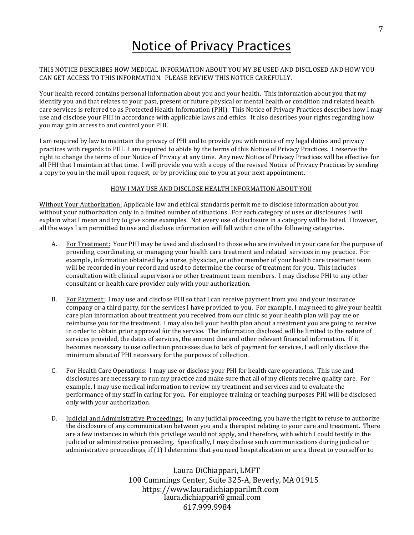## **Notice of Privacy Practices**

#### THIS NOTICE DESCRIBES HOW MEDICAL INFORMATION ABOUT YOU MY BE USED AND DISCLOSED AND HOW YOU CAN GET ACCESS TO THIS INFORMATION. PLEASE REVIEW THIS NOTICE CAREFULLY.

Your health record contains personal information about you and your health. This information about you that my identify you and that relates to your past, present or future physical or mental health or condition and related health care services is referred to as Protected Health Information (PHI). This Notice of Privacy Practices describes how I may use and disclose your PHI in accordance with applicable laws and ethics. It also describes your rights regarding how you may gain access to and control your PHI.

I am required by law to maintain the privacy of PHI and to provide you with notice of my legal duties and privacy practices with regards to PHI. I am required to abide by the terms of this Notice of Privacy Practices. I reserve the right to change the terms of our Notice of Privacy at any time. Any new Notice of Privacy Practices will be effective for all PHI that I maintain at that time. I will provide you with a copy of the revised Notice of Privacy Practices by sending a copy to you in the mail upon request, or by providing one to you at your next appointment.

#### HOW I MAY USE AND DISCLOSE HEALTH INFORMATION ABOUT YOU

Without Your Authorization: Applicable law and ethical standards permit me to disclose information about you without your authorization only in a limited number of situations. For each category of uses or disclosures I will explain what I mean and try to give some examples. Not every use of disclosure in a category will be listed. However, all the ways I am permitted to use and disclose information will fall within one of the following categories.

- A. For Treatment: Your PHI may be used and disclosed to those who are involved in your care for the purpose of providing, coordinating, or managing your health care treatment and related services in my practice. For example, information obtained by a nurse, physician, or other member of your health care treatment team will be recorded in your record and used to determine the course of treatment for you. This includes consultation with clinical supervisors or other treatment team members. I may disclose PHI to any other consultant or health care provider only with your authorization.
- B. For Payment: I may use and disclose PHI so that I can receive payment from you and your insurance company or a third party, for the services I have provided to you. For example, I may need to give your health care plan information about treatment you received from our clinic so your health plan will pay me or reimburse you for the treatment. I may also tell your health plan about a treatment you are going to receive in order to obtain prior approval for the service. The information disclosed will be limited to the nature of services provided, the dates of services, the amount due and other relevant financial information. If it becomes necessary to use collection processes due to lack of payment for services, I will only disclose the minimum about of PHI necessary for the purposes of collection.
- C. For Health Care Operations: I may use or disclose your PHI for health care operations. This use and disclosures are necessary to run my practice and make sure that all of my clients receive quality care. For example, I may use medical information to review my treatment and services and to evaluate the performance of my staff in caring for you. For employee training or teaching purposes PHI will be disclosed only with your authorization.
- D. Judicial and Administrative Proceedings: In any judicial proceeding, you have the right to refuse to authorize the disclosure of any communication between you and a therapist relating to your care and treatment. There are a few instances in which this privilege would not apply, and therefore, with which I could testify in the judicial or administrative proceeding. Specifically, I may disclose such communications during judicial or administrative proceedings, if  $(1)$  I determine that you need hospitalization or are a threat to yourself or to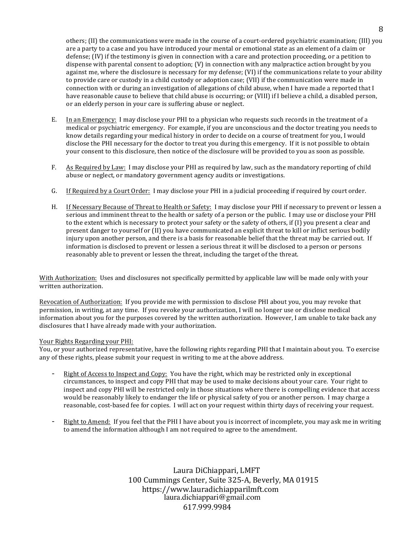others; (II) the communications were made in the course of a court-ordered psychiatric examination; (III) you are a party to a case and you have introduced your mental or emotional state as an element of a claim or defense;  $(IV)$  if the testimony is given in connection with a care and protection proceeding, or a petition to dispense with parental consent to adoption;  $(V)$  in connection with any malpractice action brought by you against me, where the disclosure is necessary for my defense; (VI) if the communications relate to your ability to provide care or custody in a child custody or adoption case; (VII) if the communication were made in connection with or during an investigation of allegations of child abuse, when I have made a reported that I have reasonable cause to believe that child abuse is occurring; or (VIII) if I believe a child, a disabled person, or an elderly person in your care is suffering abuse or neglect.

- E. In an Emergency: I may disclose your PHI to a physician who requests such records in the treatment of a medical or psychiatric emergency. For example, if you are unconscious and the doctor treating you needs to know details regarding your medical history in order to decide on a course of treatment for you, I would disclose the PHI necessary for the doctor to treat you during this emergency. If it is not possible to obtain your consent to this disclosure, then notice of the disclosure will be provided to you as soon as possible.
- F. As Required by Law: I may disclose your PHI as required by law, such as the mandatory reporting of child abuse or neglect, or mandatory government agency audits or investigations.
- G. If Required by a Court Order: I may disclose your PHI in a judicial proceeding if required by court order.
- H. If Necessary Because of Threat to Health or Safety: I may disclose your PHI if necessary to prevent or lessen a serious and imminent threat to the health or safety of a person or the public. I may use or disclose your PHI to the extent which is necessary to protect your safety or the safety of others, if (I) you present a clear and present danger to yourself or (II) you have communicated an explicit threat to kill or inflict serious bodily injury upon another person, and there is a basis for reasonable belief that the threat may be carried out. If information is disclosed to prevent or lessen a serious threat it will be disclosed to a person or persons reasonably able to prevent or lessen the threat, including the target of the threat.

With Authorization: Uses and disclosures not specifically permitted by applicable law will be made only with your written authorization.

Revocation of Authorization: If you provide me with permission to disclose PHI about you, you may revoke that permission, in writing, at any time. If you revoke your authorization, I will no longer use or disclose medical information about you for the purposes covered by the written authorization. However, I am unable to take back any disclosures that I have already made with your authorization.

#### Your Rights Regarding your PHI:

You, or your authorized representative, have the following rights regarding PHI that I maintain about you. To exercise any of these rights, please submit your request in writing to me at the above address.

- Right of Access to Inspect and Copy: You have the right, which may be restricted only in exceptional circumstances, to inspect and copy PHI that may be used to make decisions about your care. Your right to inspect and copy PHI will be restricted only in those situations where there is compelling evidence that access would be reasonably likely to endanger the life or physical safety of you or another person. I may charge a reasonable, cost-based fee for copies. I will act on your request within thirty days of receiving your request.
- Right to Amend: If you feel that the PHI I have about you is incorrect of incomplete, you may ask me in writing to amend the information although I am not required to agree to the amendment.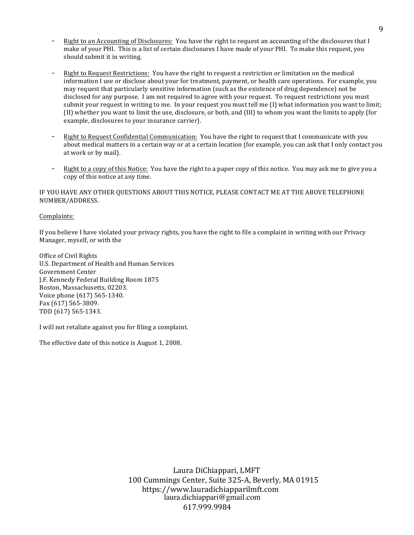- Right to an Accounting of Disclosures: You have the right to request an accounting of the disclosures that I make of your PHI. This is a list of certain disclosures I have made of your PHI. To make this request, you should submit it in writing.
- Right to Request Restrictions: You have the right to request a restriction or limitation on the medical information I use or disclose about your for treatment, payment, or health care operations. For example, you may request that particularly sensitive information (such as the existence of drug dependence) not be disclosed for any purpose. I am not required to agree with your request. To request restrictions you must submit your request in writing to me. In your request you must tell me  $(I)$  what information you want to limit; (II) whether you want to limit the use, disclosure, or both, and (III) to whom you want the limits to apply (for example, disclosures to your insurance carrier).
- Right to Request Confidential Communication: You have the right to request that I communicate with you about medical matters in a certain way or at a certain location (for example, you can ask that I only contact you at work or by mail).
- Right to a copy of this Notice: You have the right to a paper copy of this notice. You may ask me to give you a copy of this notice at any time.

IF YOU HAVE ANY OTHER OUESTIONS ABOUT THIS NOTICE, PLEASE CONTACT ME AT THE ABOVE TELEPHONE NUMBER/ADDRESS.

#### Complaints:

If you believe I have violated your privacy rights, you have the right to file a complaint in writing with our Privacy Manager, myself, or with the

Office of Civil Rights U.S. Department of Health and Human Services Government Center J.F. Kennedy Federal Building Room 1875 Boston, Massachusetts, 02203. Voice phone (617) 565-1340. Fax (617) 565-3809. TDD (617) 565-1343.

I will not retaliate against you for filing a complaint.

The effective date of this notice is August 1, 2008.